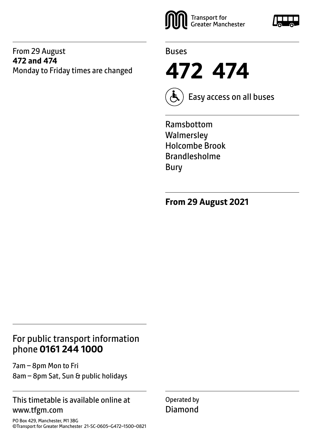#### From 29 August **472 and 474** Monday to Friday times are changed





**472 474**



Easy access on all buses

Ramsbottom **Walmersley** Holcombe Brook Brandlesholme Bury

**From 29 August 2021**

## For public transport information phone **0161 244 1000**

7am – 8pm Mon to Fri 8am – 8pm Sat, Sun & public holidays

#### This timetable is available online at www.tfgm.com

PO Box 429, Manchester, M1 3BG ©Transport for Greater Manchester 21-SC-0605–G472–1500–0821 Operated by Diamond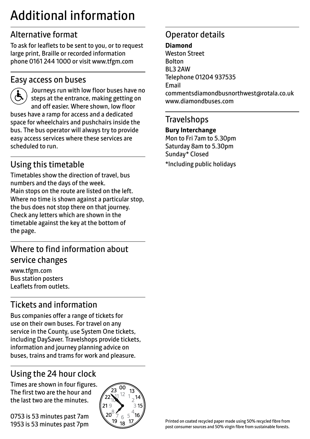## Additional information

## Alternative format

To ask for leaflets to be sent to you, or to request large print, Braille or recorded information phone 0161 244 1000 or visit www.tfgm.com

#### Easy access on buses



 Journeys run with low floor buses have no steps at the entrance, making getting on and off easier. Where shown, low floor buses have a ramp for access and a dedicated space for wheelchairs and pushchairs inside the bus. The bus operator will always try to provide easy access services where these services are scheduled to run.

## Using this timetable

Timetables show the direction of travel, bus numbers and the days of the week. Main stops on the route are listed on the left. Where no time is shown against a particular stop, the bus does not stop there on that journey. Check any letters which are shown in the timetable against the key at the bottom of the page.

## Where to find information about service changes

www.tfgm.com Bus station posters Leaflets from outlets.

## Tickets and information

Bus companies offer a range of tickets for use on their own buses. For travel on any service in the County, use System One tickets, including DaySaver. Travelshops provide tickets, information and journey planning advice on buses, trains and trams for work and pleasure.

## Using the 24 hour clock

Times are shown in four figures. The first two are the hour and the last two are the minutes.

0753 is 53 minutes past 7am 1953 is 53 minutes past 7pm



## Operator details

**Diamond** Weston Street Bolton BL3 2AW Telephone 01204 937535 Email commentsdiamondbusnorthwest@rotala.co.uk www.diamondbuses.com

#### **Travelshops**

**Bury Interchange** Mon to Fri 7am to 5.30pm Saturday 8am to 5.30pm Sunday\* Closed \*Including public holidays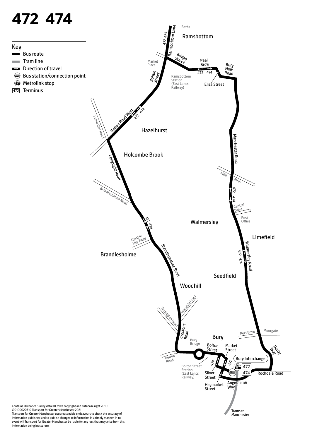# **472 474**

Bus route Tram line

472 Terminus

Key

 $\sim$  $\sim$ EZ



Transport for Greater Manchester uses reasonable endeavours to check the accuracy of information published and to publish changes to information in a timely manner. In no event will Transport for Greater Manchester be liable for any loss that may arise from this information being inaccurate.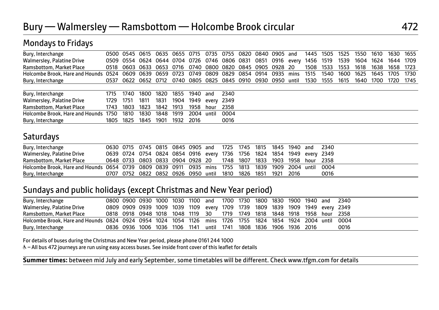| Bury, Interchange                                                                      |      | 0500 0545 0615 0635 0655 0715 0735 |      |      |      |      |       |       | 0755 0820 0840 0905 and                                                |  |       | 1445 | 1505 | 1525 | 1550 | 1610 | 1630      | 1655 |
|----------------------------------------------------------------------------------------|------|------------------------------------|------|------|------|------|-------|-------|------------------------------------------------------------------------|--|-------|------|------|------|------|------|-----------|------|
| Walmersley, Palatine Drive                                                             |      |                                    |      |      |      |      |       |       | 0509 0554 0624 0644 0704 0726 0746 0806 0831 0851 0916 every 1456 1519 |  |       |      |      | 1539 | 1604 | 1624 | 1644 1709 |      |
| Ramsbottom, Market Place                                                               | 0518 |                                    |      |      |      |      |       |       | 0603 0633 0653 0716 0740 0800 0820 0845 0905 0928 20                   |  |       | 1508 | 1533 | 1553 | 1618 | 1638 | 1658      | 1723 |
| Holcombe Brook. Hare and Hounds 0524 0609 0639 0659 0723 0749 0809 0829 0854 0914 0935 |      |                                    |      |      |      |      |       |       |                                                                        |  | mins  | 1515 | 1540 | 1600 | 1625 | 1645 | 1705      | 1730 |
| Bury, Interchange                                                                      | 0537 |                                    |      |      |      |      |       |       | 0622 0652 0712 0740 0805 0825 0845 0910 0930 0950                      |  | until | 1530 | 1555 | 1615 | 1640 | 1700 | 1720      | 1745 |
|                                                                                        |      |                                    |      |      |      |      |       |       |                                                                        |  |       |      |      |      |      |      |           |      |
| Bury, Interchange                                                                      | 1715 | 1740                               | 1800 | 1820 | 1855 | 1940 | and   | 2340  |                                                                        |  |       |      |      |      |      |      |           |      |
| Walmersley, Palatine Drive                                                             | 1729 | 1751                               | 1811 | 1831 | 1904 | 1949 | everv | -2349 |                                                                        |  |       |      |      |      |      |      |           |      |
| Ramsbottom, Market Place                                                               | 1743 | 1803                               | 1823 | 1842 | 1913 | 1958 | hour  | 2358  |                                                                        |  |       |      |      |      |      |      |           |      |
| Holcombe Brook, Hare and Hounds 1750                                                   |      | 1810                               | 1830 | 1848 | 1919 | 2004 | until | 0004  |                                                                        |  |       |      |      |      |      |      |           |      |
| Bury, Interchange                                                                      | 1805 | 1825                               | 1845 | 1901 | 1932 | 2016 |       | 0016  |                                                                        |  |       |      |      |      |      |      |           |      |

### **Saturdays**

Mondays to Fridays

| Bury, Interchange                                                                                      |  |  |  |  |  | 0630 0715 0745 0815 0845 0905 and 1725 1745 1815 1845 1940 and 2340     |  |      |
|--------------------------------------------------------------------------------------------------------|--|--|--|--|--|-------------------------------------------------------------------------|--|------|
| Walmersley, Palatine Drive                                                                             |  |  |  |  |  | 0639 0724 0754 0824 0854 0916 every 1736 1756 1824 1854 1949 every 2349 |  |      |
| Ramsbottom, Market Place                                                                               |  |  |  |  |  | 0648 0733 0803 0833 0904 0928 20 1748 1807 1833 1903 1958 hour 2358     |  |      |
| Holcombe Brook, Hare and Hounds 0654 0739 0809 0839 0911 0935 mins 1755 1813 1839 1909 2004 until 0004 |  |  |  |  |  |                                                                         |  |      |
| Bury, Interchange                                                                                      |  |  |  |  |  | 0707 0752 0822 0852 0926 0950 until 1810 1826 1851 1921 2016            |  | 0016 |

#### Sundays and public holidays (except Christmas and New Year period)

| Bury, Interchange                                                                                           |  |  |  |  | 0800 0900 0930 1000 1030 1100 and 1700 1730 1800 1830 1900 1940 and 2340     |  |  |      |
|-------------------------------------------------------------------------------------------------------------|--|--|--|--|------------------------------------------------------------------------------|--|--|------|
| Walmersley, Palatine Drive                                                                                  |  |  |  |  | 0809 0909 0939 1009 1039 1109 every 1709 1739 1809 1839 1909 1949 every 2349 |  |  |      |
| Ramsbottom, Market Place                                                                                    |  |  |  |  | 0818 0918 0948 1018 1048 1119 30 1719 1749 1818 1848 1918 1958 hour 2358     |  |  |      |
| Holcombe Brook, Hare and Hounds 0824 0924 0954 1024 1054 1126 mins 1726 1755 1824 1854 1924 2004 until 0004 |  |  |  |  |                                                                              |  |  |      |
| Bury, Interchange                                                                                           |  |  |  |  | 0836 0936 1006 1036 1106 1141 until 1741 1808 1836 1906 1936 2016            |  |  | 0016 |

For details of buses during the Christmas and New Year period, please phone 0161 244 1000

W– All bus 472 journeys are run using easy access buses. See inside front cover of this leaflet for details

**Summer times:** between mid July and early September, some timetables will be different. Check www.tfgm.com for details